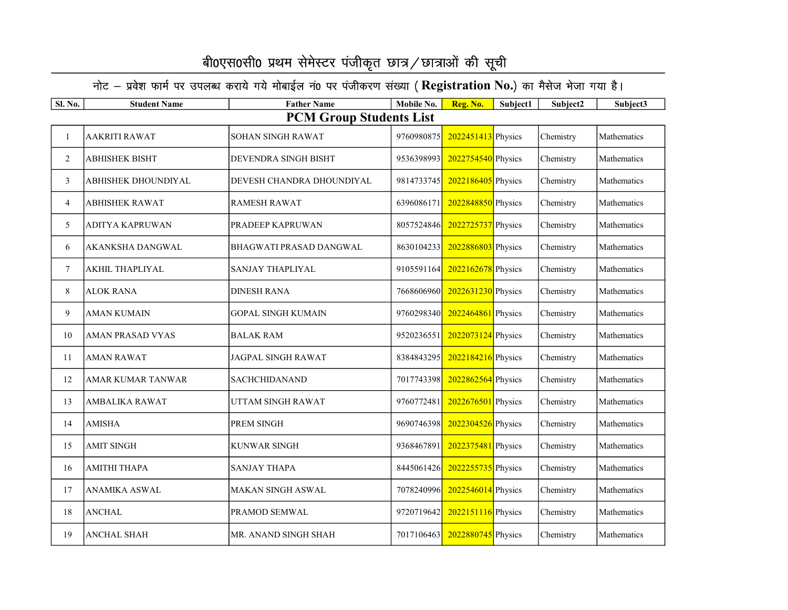| Sl. No.        | <b>Student Name</b>            | <b>Father Name</b>             | Mobile No. | Reg. No.             | Subject1 | Subject2  | Subject3    |  |  |  |  |
|----------------|--------------------------------|--------------------------------|------------|----------------------|----------|-----------|-------------|--|--|--|--|
|                | <b>PCM Group Students List</b> |                                |            |                      |          |           |             |  |  |  |  |
| $\mathbf{1}$   | <b>AAKRITI RAWAT</b>           | <b>SOHAN SINGH RAWAT</b>       | 9760980875 | $2022451413$ Physics |          | Chemistry | Mathematics |  |  |  |  |
| $\overline{2}$ | ABHISHEK BISHT                 | <b>DEVENDRA SINGH BISHT</b>    | 9536398993 | 2022754540 Physics   |          | Chemistry | Mathematics |  |  |  |  |
| 3              | ABHISHEK DHOUNDIYAL            | DEVESH CHANDRA DHOUNDIYAL      | 9814733745 | 2022186405 Physics   |          | Chemistry | Mathematics |  |  |  |  |
| 4              | <b>ABHISHEK RAWAT</b>          | <b>RAMESH RAWAT</b>            | 6396086171 | 2022848850 Physics   |          | Chemistry | Mathematics |  |  |  |  |
| 5              | ADITYA KAPRUWAN                | PRADEEP KAPRUWAN               | 8057524846 | 2022725737 Physics   |          | Chemistry | Mathematics |  |  |  |  |
| 6              | AKANKSHA DANGWAL               | <b>BHAGWATI PRASAD DANGWAL</b> | 8630104233 | 2022886803 Physics   |          | Chemistry | Mathematics |  |  |  |  |
| $\tau$         | <b>AKHIL THAPLIYAL</b>         | <b>SANJAY THAPLIYAL</b>        | 9105591164 | 2022162678 Physics   |          | Chemistry | Mathematics |  |  |  |  |
| 8              | <b>ALOK RANA</b>               | <b>DINESH RANA</b>             | 7668606960 | 2022631230 Physics   |          | Chemistry | Mathematics |  |  |  |  |
| 9              | <b>AMAN KUMAIN</b>             | <b>GOPAL SINGH KUMAIN</b>      | 9760298340 | 2022464861 Physics   |          | Chemistry | Mathematics |  |  |  |  |
| 10             | <b>AMAN PRASAD VYAS</b>        | <b>BALAK RAM</b>               | 9520236551 | 2022073124 Physics   |          | Chemistry | Mathematics |  |  |  |  |
| 11             | <b>AMAN RAWAT</b>              | <b>JAGPAL SINGH RAWAT</b>      | 8384843295 | 2022184216 Physics   |          | Chemistry | Mathematics |  |  |  |  |
| 12             | AMAR KUMAR TANWAR              | <b>SACHCHIDANAND</b>           | 7017743398 | 2022862564 Physics   |          | Chemistry | Mathematics |  |  |  |  |
| 13             | <b>AMBALIKA RAWAT</b>          | UTTAM SINGH RAWAT              | 9760772481 | 2022676501 Physics   |          | Chemistry | Mathematics |  |  |  |  |
| 14             | <b>AMISHA</b>                  | <b>PREM SINGH</b>              | 9690746398 | 2022304526 Physics   |          | Chemistry | Mathematics |  |  |  |  |
| 15             | <b>AMIT SINGH</b>              | <b>KUNWAR SINGH</b>            | 9368467891 | 2022375481 Physics   |          | Chemistry | Mathematics |  |  |  |  |
| 16             | AMITHI THAPA                   | <b>SANJAY THAPA</b>            | 8445061426 | 2022255735 Physics   |          | Chemistry | Mathematics |  |  |  |  |
| 17             | ANAMIKA ASWAL                  | <b>MAKAN SINGH ASWAL</b>       | 7078240996 | 2022546014 Physics   |          | Chemistry | Mathematics |  |  |  |  |
| 18             | <b>ANCHAL</b>                  | PRAMOD SEMWAL                  | 9720719642 | 2022151116 Physics   |          | Chemistry | Mathematics |  |  |  |  |
| 19             | <b>ANCHAL SHAH</b>             | MR. ANAND SINGH SHAH           | 7017106463 | 2022880745 Physics   |          | Chemistry | Mathematics |  |  |  |  |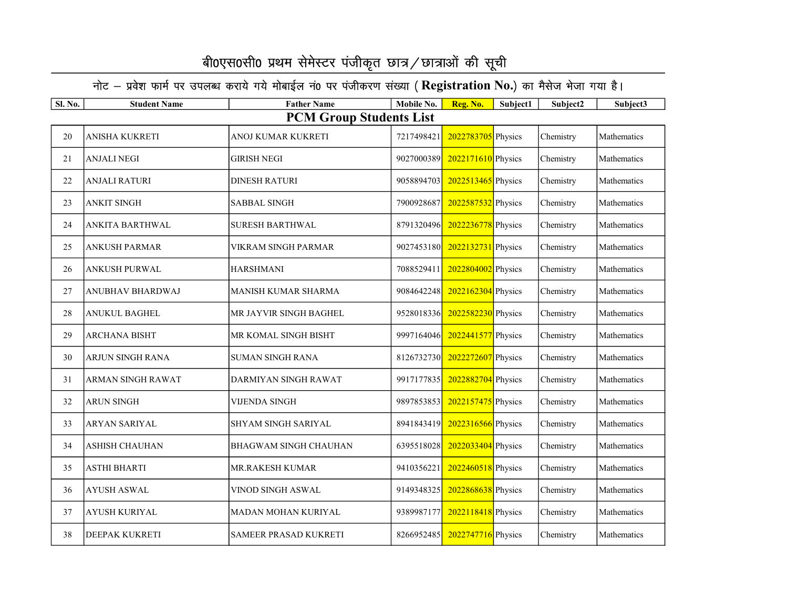| <b>Sl. No.</b> | <b>Student Name</b>     | <b>Father Name</b>             | Mobile No. | Reg. No.             | Subject1 | Subject2  | Subject3    |
|----------------|-------------------------|--------------------------------|------------|----------------------|----------|-----------|-------------|
|                |                         | <b>PCM Group Students List</b> |            |                      |          |           |             |
| 20             | <b>ANISHA KUKRETI</b>   | ANOJ KUMAR KUKRETI             | 7217498421 | 2022783705 Physics   |          | Chemistry | Mathematics |
| 21             | <b>ANJALI NEGI</b>      | <b>GIRISH NEGI</b>             | 9027000389 | 2022171610 Physics   |          | Chemistry | Mathematics |
| 22             | <b>ANJALI RATURI</b>    | <b>DINESH RATURI</b>           | 9058894703 | 2022513465 Physics   |          | Chemistry | Mathematics |
| 23             | <b>ANKIT SINGH</b>      | <b>SABBAL SINGH</b>            | 7900928687 | 2022587532 Physics   |          | Chemistry | Mathematics |
| 24             | ANKITA BARTHWAL         | <b>SURESH BARTHWAL</b>         | 8791320496 | 2022236778 Physics   |          | Chemistry | Mathematics |
| 25             | ANKUSH PARMAR           | VIKRAM SINGH PARMAR            | 9027453180 | 2022132731 Physics   |          | Chemistry | Mathematics |
| 26             | <b>ANKUSH PURWAL</b>    | <b>HARSHMANI</b>               | 7088529411 | 2022804002 Physics   |          | Chemistry | Mathematics |
| 27             | <b>ANUBHAV BHARDWAJ</b> | <b>MANISH KUMAR SHARMA</b>     | 9084642248 | 2022162304 Physics   |          | Chemistry | Mathematics |
| 28             | <b>ANUKUL BAGHEL</b>    | MR JAYVIR SINGH BAGHEL         | 9528018336 | 2022582230 Physics   |          | Chemistry | Mathematics |
| 29             | <b>ARCHANA BISHT</b>    | MR KOMAL SINGH BISHT           | 9997164046 | 2022441577 Physics   |          | Chemistry | Mathematics |
| 30             | ARJUN SINGH RANA        | <b>SUMAN SINGH RANA</b>        | 8126732730 | 2022272607 Physics   |          | Chemistry | Mathematics |
| 31             | ARMAN SINGH RAWAT       | DARMIYAN SINGH RAWAT           | 9917177835 | 2022882704 Physics   |          | Chemistry | Mathematics |
| 32             | <b>ARUN SINGH</b>       | <b>VIJENDA SINGH</b>           | 9897853853 | $2022157475$ Physics |          | Chemistry | Mathematics |
| 33             | <b>ARYAN SARIYAL</b>    | <b>SHYAM SINGH SARIYAL</b>     | 8941843419 | 2022316566 Physics   |          | Chemistry | Mathematics |
| 34             | <b>ASHISH CHAUHAN</b>   | <b>BHAGWAM SINGH CHAUHAN</b>   | 6395518028 | 2022033404 Physics   |          | Chemistry | Mathematics |
| 35             | <b>ASTHI BHARTI</b>     | MR.RAKESH KUMAR                | 9410356221 | $2022460518$ Physics |          | Chemistry | Mathematics |
| 36             | <b>AYUSH ASWAL</b>      | VINOD SINGH ASWAL              | 9149348325 | 2022868638 Physics   |          | Chemistry | Mathematics |
| 37             | AYUSH KURIYAL           | MADAN MOHAN KURIYAL            | 9389987177 | 2022118418 Physics   |          | Chemistry | Mathematics |
| 38             | DEEPAK KUKRETI          | SAMEER PRASAD KUKRETI          | 8266952485 | 2022747716 Physics   |          | Chemistry | Mathematics |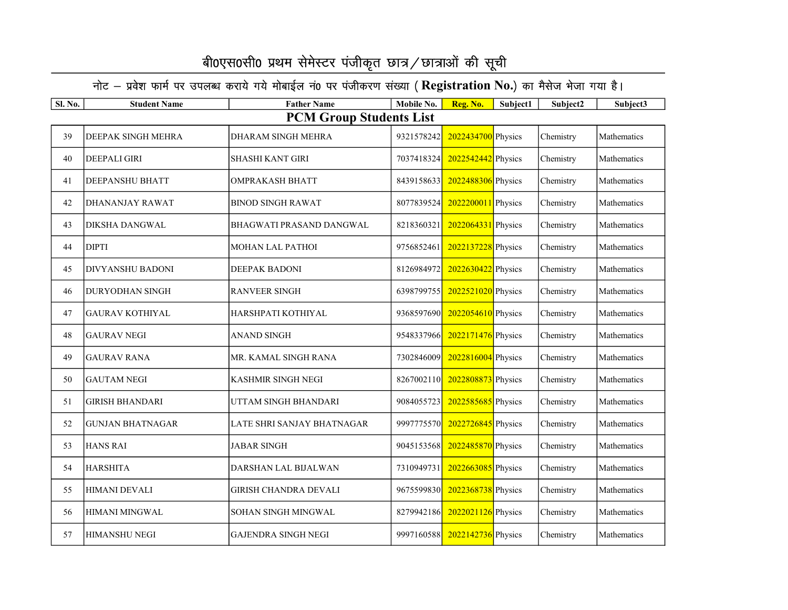| <b>Sl. No.</b> | <b>Student Name</b>            | <b>Father Name</b>           | Mobile No. | Reg. No.             | Subject1 | Subject2  | Subject3    |  |  |  |  |
|----------------|--------------------------------|------------------------------|------------|----------------------|----------|-----------|-------------|--|--|--|--|
|                | <b>PCM Group Students List</b> |                              |            |                      |          |           |             |  |  |  |  |
| 39             | DEEPAK SINGH MEHRA             | DHARAM SINGH MEHRA           | 9321578242 | 2022434700 Physics   |          | Chemistry | Mathematics |  |  |  |  |
| 40             | <b>DEEPALI GIRI</b>            | <b>SHASHI KANT GIRI</b>      | 7037418324 | 2022542442 Physics   |          | Chemistry | Mathematics |  |  |  |  |
| 41             | <b>DEEPANSHU BHATT</b>         | <b>OMPRAKASH BHATT</b>       | 8439158633 | 2022488306 Physics   |          | Chemistry | Mathematics |  |  |  |  |
| 42             | DHANANJAY RAWAT                | <b>BINOD SINGH RAWAT</b>     | 8077839524 | 2022200011 Physics   |          | Chemistry | Mathematics |  |  |  |  |
| 43             | DIKSHA DANGWAL                 | BHAGWATI PRASAND DANGWAL     | 8218360321 | 2022064331 Physics   |          | Chemistry | Mathematics |  |  |  |  |
| 44             | <b>DIPTI</b>                   | MOHAN LAL PATHOI             | 9756852461 | 2022137228 Physics   |          | Chemistry | Mathematics |  |  |  |  |
| 45             | DIVYANSHU BADONI               | <b>DEEPAK BADONI</b>         | 8126984972 | 2022630422 Physics   |          | Chemistry | Mathematics |  |  |  |  |
| 46             | DURYODHAN SINGH                | <b>RANVEER SINGH</b>         | 6398799755 | 2022521020 Physics   |          | Chemistry | Mathematics |  |  |  |  |
| 47             | <b>GAURAV KOTHIYAL</b>         | HARSHPATI KOTHIYAL           | 9368597690 | $2022054610$ Physics |          | Chemistry | Mathematics |  |  |  |  |
| 48             | <b>GAURAV NEGI</b>             | <b>ANAND SINGH</b>           | 9548337966 | 2022171476 Physics   |          | Chemistry | Mathematics |  |  |  |  |
| 49             | <b>GAURAV RANA</b>             | MR. KAMAL SINGH RANA         | 7302846009 | 2022816004 Physics   |          | Chemistry | Mathematics |  |  |  |  |
| 50             | <b>GAUTAM NEGI</b>             | <b>KASHMIR SINGH NEGI</b>    | 8267002110 | 2022808873 Physics   |          | Chemistry | Mathematics |  |  |  |  |
| 51             | <b>GIRISH BHANDARI</b>         | UTTAM SINGH BHANDARI         | 9084055723 | 2022585685 Physics   |          | Chemistry | Mathematics |  |  |  |  |
| 52             | <b>GUNJAN BHATNAGAR</b>        | LATE SHRI SANJAY BHATNAGAR   | 9997775570 | 2022726845 Physics   |          | Chemistry | Mathematics |  |  |  |  |
| 53             | <b>HANS RAI</b>                | <b>JABAR SINGH</b>           | 9045153568 | 2022485870 Physics   |          | Chemistry | Mathematics |  |  |  |  |
| 54             | <b>HARSHITA</b>                | DARSHAN LAL BIJALWAN         | 7310949731 | 2022663085 Physics   |          | Chemistry | Mathematics |  |  |  |  |
| 55             | <b>HIMANI DEVALI</b>           | <b>GIRISH CHANDRA DEVALI</b> | 9675599830 | 2022368738 Physics   |          | Chemistry | Mathematics |  |  |  |  |
| 56             | HIMANI MINGWAL                 | SOHAN SINGH MINGWAL          | 8279942186 | 2022021126 Physics   |          | Chemistry | Mathematics |  |  |  |  |
| 57             | HIMANSHU NEGI                  | <b>GAJENDRA SINGH NEGI</b>   | 9997160588 | 2022142736 Physics   |          | Chemistry | Mathematics |  |  |  |  |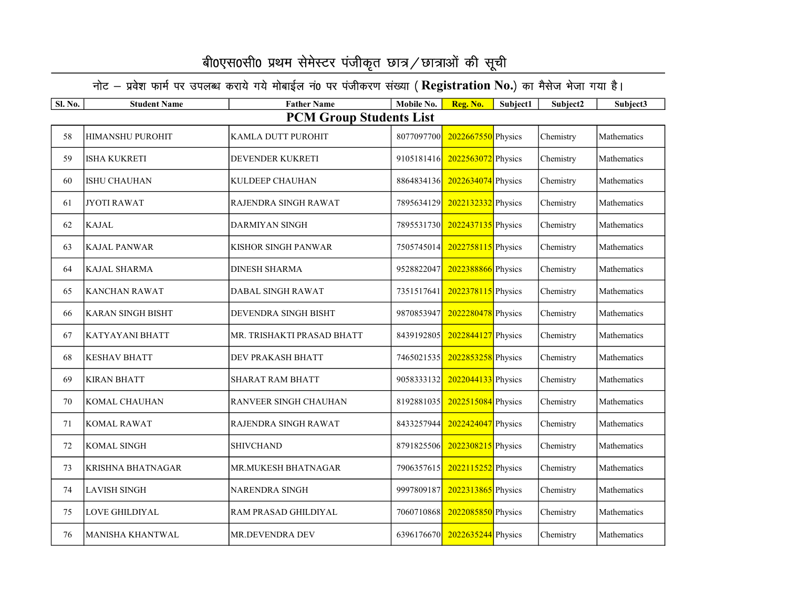| <b>Sl. No.</b> | <b>Student Name</b>            | <b>Father Name</b>         | Mobile No. | Reg. No.                      | Subject1 | Subject2  | Subject3    |  |  |  |  |
|----------------|--------------------------------|----------------------------|------------|-------------------------------|----------|-----------|-------------|--|--|--|--|
|                | <b>PCM Group Students List</b> |                            |            |                               |          |           |             |  |  |  |  |
| 58             | <b>HIMANSHU PUROHIT</b>        | KAMLA DUTT PUROHIT         | 8077097700 | 2022667550 Physics            |          | Chemistry | Mathematics |  |  |  |  |
| 59             | ISHA KUKRETI                   | DEVENDER KUKRETI           | 9105181416 | 2022563072 Physics            |          | Chemistry | Mathematics |  |  |  |  |
| 60             | ISHU CHAUHAN                   | KULDEEP CHAUHAN            | 8864834136 | $2022634074$ Physics          |          | Chemistry | Mathematics |  |  |  |  |
| 61             | <b>JYOTI RAWAT</b>             | RAJENDRA SINGH RAWAT       | 7895634129 | 2022132332 Physics            |          | Chemistry | Mathematics |  |  |  |  |
| 62             | <b>KAJAL</b>                   | <b>DARMIYAN SINGH</b>      | 7895531730 | 2022437135 Physics            |          | Chemistry | Mathematics |  |  |  |  |
| 63             | <b>KAJAL PANWAR</b>            | KISHOR SINGH PANWAR        | 7505745014 | 2022758115 Physics            |          | Chemistry | Mathematics |  |  |  |  |
| 64             | <b>KAJAL SHARMA</b>            | <b>DINESH SHARMA</b>       | 9528822047 | 2022388866 Physics            |          | Chemistry | Mathematics |  |  |  |  |
| 65             | <b>KANCHAN RAWAT</b>           | DABAL SINGH RAWAT          | 7351517641 | 2022378115 Physics            |          | Chemistry | Mathematics |  |  |  |  |
| 66             | <b>KARAN SINGH BISHT</b>       | DEVENDRA SINGH BISHT       | 9870853947 | 2022280478 Physics            |          | Chemistry | Mathematics |  |  |  |  |
| 67             | <b>KATYAYANI BHATT</b>         | MR. TRISHAKTI PRASAD BHATT | 8439192805 | 2022844127 Physics            |          | Chemistry | Mathematics |  |  |  |  |
| 68             | <b>KESHAV BHATT</b>            | DEV PRAKASH BHATT          | 7465021535 | 2022853258 Physics            |          | Chemistry | Mathematics |  |  |  |  |
| 69             | <b>KIRAN BHATT</b>             | <b>SHARAT RAM BHATT</b>    | 9058333132 | 2022044133 Physics            |          | Chemistry | Mathematics |  |  |  |  |
| 70             | <b>KOMAL CHAUHAN</b>           | RANVEER SINGH CHAUHAN      | 8192881035 | 2022515084 Physics            |          | Chemistry | Mathematics |  |  |  |  |
| 71             | <b>KOMAL RAWAT</b>             | RAJENDRA SINGH RAWAT       | 8433257944 | 2022424047 Physics            |          | Chemistry | Mathematics |  |  |  |  |
| 72             | <b>KOMAL SINGH</b>             | <b>SHIVCHAND</b>           | 8791825506 | 2022308215 Physics            |          | Chemistry | Mathematics |  |  |  |  |
| 73             | <b>KRISHNA BHATNAGAR</b>       | MR.MUKESH BHATNAGAR        | 7906357615 | 2022115252 Physics            |          | Chemistry | Mathematics |  |  |  |  |
| 74             | <b>LAVISH SINGH</b>            | NARENDRA SINGH             | 9997809187 | 2022313865 Physics            |          | Chemistry | Mathematics |  |  |  |  |
| 75             | LOVE GHILDIYAL                 | RAM PRASAD GHILDIYAL       | 7060710868 | 2022085850 Physics            |          | Chemistry | Mathematics |  |  |  |  |
| 76             | <b>MANISHA KHANTWAL</b>        | MR.DEVENDRA DEV            |            | 6396176670 2022635244 Physics |          | Chemistry | Mathematics |  |  |  |  |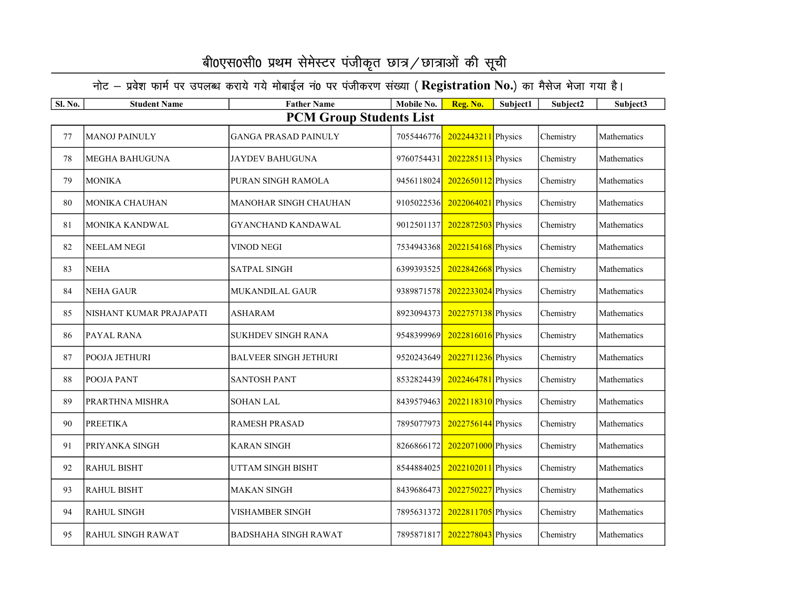| <b>Sl. No.</b> | <b>Student Name</b>      | <b>Father Name</b>             | Mobile No. | Reg. No.             | Subject1 | Subject2  | Subject3    |
|----------------|--------------------------|--------------------------------|------------|----------------------|----------|-----------|-------------|
|                |                          | <b>PCM Group Students List</b> |            |                      |          |           |             |
| 77             | <b>MANOJ PAINULY</b>     | <b>GANGA PRASAD PAINULY</b>    | 7055446776 | 2022443211 Physics   |          | Chemistry | Mathematics |
| 78             | <b>MEGHA BAHUGUNA</b>    | <b>JAYDEV BAHUGUNA</b>         | 9760754431 | 2022285113 Physics   |          | Chemistry | Mathematics |
| 79             | <b>MONIKA</b>            | PURAN SINGH RAMOLA             | 9456118024 | $2022650112$ Physics |          | Chemistry | Mathematics |
| 80             | MONIKA CHAUHAN           | MANOHAR SINGH CHAUHAN          | 9105022536 | 2022064021 Physics   |          | Chemistry | Mathematics |
| 81             | MONIKA KANDWAL           | <b>GYANCHAND KANDAWAL</b>      | 9012501137 | 2022872503 Physics   |          | Chemistry | Mathematics |
| 82             | <b>NEELAM NEGI</b>       | VINOD NEGI                     | 7534943368 | 2022154168 Physics   |          | Chemistry | Mathematics |
| 83             | <b>NEHA</b>              | <b>SATPAL SINGH</b>            | 6399393525 | 2022842668 Physics   |          | Chemistry | Mathematics |
| 84             | <b>NEHA GAUR</b>         | <b>MUKANDILAL GAUR</b>         | 9389871578 | 2022233024 Physics   |          | Chemistry | Mathematics |
| 85             | NISHANT KUMAR PRAJAPATI  | <b>ASHARAM</b>                 | 8923094373 | 2022757138 Physics   |          | Chemistry | Mathematics |
| 86             | PAYAL RANA               | <b>SUKHDEV SINGH RANA</b>      | 9548399969 | $2022816016$ Physics |          | Chemistry | Mathematics |
| 87             | POOJA JETHURI            | <b>BALVEER SINGH JETHURI</b>   | 9520243649 | 2022711236 Physics   |          | Chemistry | Mathematics |
| 88             | POOJA PANT               | <b>SANTOSH PANT</b>            | 8532824439 | 2022464781 Physics   |          | Chemistry | Mathematics |
| 89             | PRARTHNA MISHRA          | <b>SOHAN LAL</b>               | 8439579463 | $2022118310$ Physics |          | Chemistry | Mathematics |
| 90             | <b>PREETIKA</b>          | <b>RAMESH PRASAD</b>           | 7895077973 | 2022756144 Physics   |          | Chemistry | Mathematics |
| 91             | PRIYANKA SINGH           | <b>KARAN SINGH</b>             | 8266866172 | 2022071000 Physics   |          | Chemistry | Mathematics |
| 92             | <b>RAHUL BISHT</b>       | UTTAM SINGH BISHT              | 8544884025 | 2022102011 Physics   |          | Chemistry | Mathematics |
| 93             | <b>RAHUL BISHT</b>       | <b>MAKAN SINGH</b>             | 8439686473 | 2022750227 Physics   |          | Chemistry | Mathematics |
| 94             | <b>RAHUL SINGH</b>       | VISHAMBER SINGH                | 7895631372 | 2022811705 Physics   |          | Chemistry | Mathematics |
| 95             | <b>RAHUL SINGH RAWAT</b> | <b>BADSHAHA SINGH RAWAT</b>    | 7895871817 | 2022278043 Physics   |          | Chemistry | Mathematics |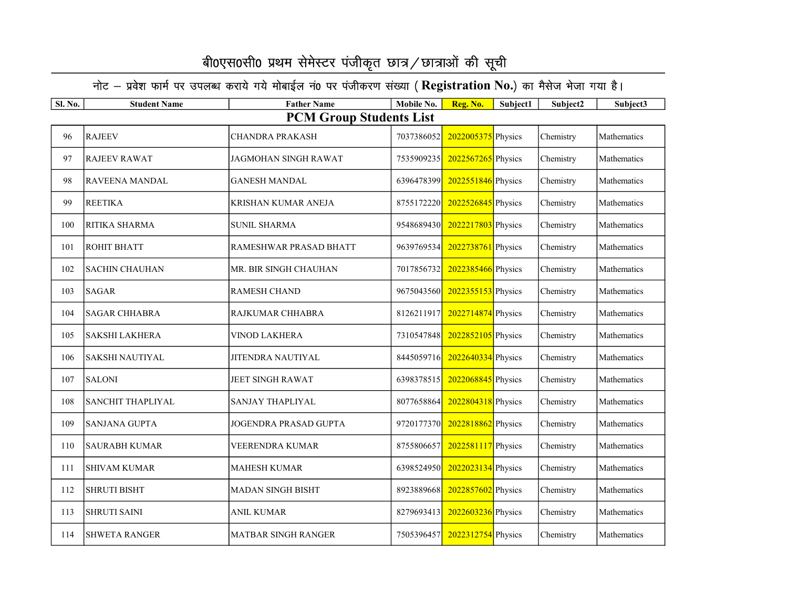| Sl. No. | <b>Student Name</b>      | <b>Father Name</b>             | Mobile No. | Reg. No.           | Subject1 | Subject2  | Subject3    |
|---------|--------------------------|--------------------------------|------------|--------------------|----------|-----------|-------------|
|         |                          | <b>PCM Group Students List</b> |            |                    |          |           |             |
| 96      | <b>RAJEEV</b>            | <b>CHANDRA PRAKASH</b>         | 7037386052 | 2022005375 Physics |          | Chemistry | Mathematics |
| 97      | <b>RAJEEV RAWAT</b>      | JAGMOHAN SINGH RAWAT           | 7535909235 | 2022567265 Physics |          | Chemistry | Mathematics |
| 98      | RAVEENA MANDAL           | <b>GANESH MANDAL</b>           | 6396478399 | 2022551846 Physics |          | Chemistry | Mathematics |
| 99      | <b>REETIKA</b>           | <b>KRISHAN KUMAR ANEJA</b>     | 8755172220 | 2022526845 Physics |          | Chemistry | Mathematics |
| 100     | RITIKA SHARMA            | <b>SUNIL SHARMA</b>            | 9548689430 | 2022217803 Physics |          | Chemistry | Mathematics |
| 101     | ROHIT BHATT              | RAMESHWAR PRASAD BHATT         | 9639769534 | 2022738761 Physics |          | Chemistry | Mathematics |
| 102     | <b>SACHIN CHAUHAN</b>    | MR. BIR SINGH CHAUHAN          | 7017856732 | 2022385466 Physics |          | Chemistry | Mathematics |
| 103     | <b>SAGAR</b>             | <b>RAMESH CHAND</b>            | 9675043560 | 2022355153 Physics |          | Chemistry | Mathematics |
| 104     | <b>SAGAR CHHABRA</b>     | RAJKUMAR CHHABRA               | 8126211917 | 2022714874 Physics |          | Chemistry | Mathematics |
| 105     | <b>SAKSHI LAKHERA</b>    | <b>VINOD LAKHERA</b>           | 7310547848 | 2022852105 Physics |          | Chemistry | Mathematics |
| 106     | <b>SAKSHI NAUTIYAL</b>   | <b>JITENDRA NAUTIYAL</b>       | 8445059716 | 2022640334 Physics |          | Chemistry | Mathematics |
| 107     | <b>SALONI</b>            | <b>JEET SINGH RAWAT</b>        | 6398378515 | 2022068845 Physics |          | Chemistry | Mathematics |
| 108     | <b>SANCHIT THAPLIYAL</b> | <b>SANJAY THAPLIYAL</b>        | 8077658864 | 2022804318 Physics |          | Chemistry | Mathematics |
| 109     | <b>SANJANA GUPTA</b>     | JOGENDRA PRASAD GUPTA          | 9720177370 | 2022818862 Physics |          | Chemistry | Mathematics |
| 110     | <b>SAURABH KUMAR</b>     | VEERENDRA KUMAR                | 8755806657 | 2022581117 Physics |          | Chemistry | Mathematics |
| 111     | <b>SHIVAM KUMAR</b>      | <b>MAHESH KUMAR</b>            | 6398524950 | 2022023134 Physics |          | Chemistry | Mathematics |
| 112     | <b>SHRUTI BISHT</b>      | <b>MADAN SINGH BISHT</b>       | 8923889668 | 2022857602 Physics |          | Chemistry | Mathematics |
| 113     | <b>SHRUTI SAINI</b>      | <b>ANIL KUMAR</b>              | 8279693413 | 2022603236 Physics |          | Chemistry | Mathematics |
| 114     | <b>SHWETA RANGER</b>     | <b>MATBAR SINGH RANGER</b>     | 7505396457 | 2022312754 Physics |          | Chemistry | Mathematics |